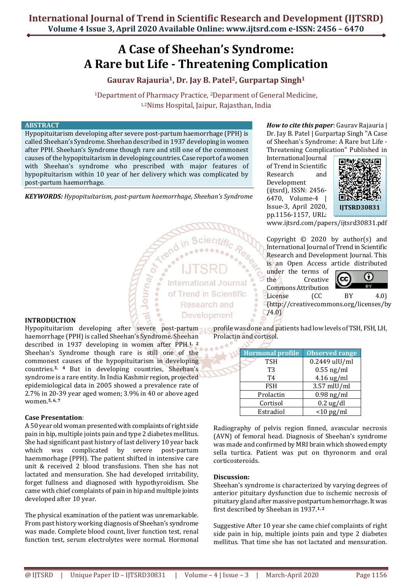# **A Case of Sheehan's Syndrome: A Rare but Life - Threatening Complication**

**Gaurav Rajauria1, Dr. Jay B. Patel2, Gurpartap Singh<sup>1</sup>**

<sup>1</sup>Department of Pharmacy Practice, 2Deparment of General Medicine, 1,2Nims Hospital, Jaipur, Rajasthan, India

#### **ABSTRACT**

Hypopituitarism developing after severe post-partum haemorrhage (PPH) is called Sheehan's Syndrome. Sheehan described in 1937 developing in women after PPH. Sheehan's Syndrome though rare and still one of the commonest causes of the hypopituitarism in developing countries. Case report of a women with Sheehan's syndrome who prescribed with major features of hypopituitarism within 10 year of her delivery which was complicated by post-partum haemorrhage.

*KEYWORDS: Hypopituitarism, post-partum haemorrhage, Sheehan's Syndrome* 

Journ<sub>a</sub>

# **International Journal** of Trend in Scientific **Research and Development**

*How to cite this paper:* Gaurav Rajauria | Dr. Jay B. Patel | Gurpartap Singh "A Case of Sheehan's Syndrome: A Rare but Life - Threatening Complication" Published in

International Journal of Trend in Scientific Research and Development (ijtsrd), ISSN: 2456- 6470, Volume-4 | Issue-3, April 2020, pp.1156-1157, URL:



www.ijtsrd.com/papers/ijtsrd30831.pdf

Copyright  $\odot$  2020 by author(s) and International Journal of Trend in Scientific Research and Development Journal. This is an Open Access article distributed

under the terms of the Creative Commons Attribution



License (CC BY 4.0) (http://creativecommons.org/licenses/by /4.0)

## **INTRODUCTION**

Hypopituitarism developing after severe post-partum<sub>2d Es</sub>profile was done and patients had low levels of TSH, FSH, LH, haemorrhage (PPH) is called Sheehan's Syndrome. Sheehan Prolactin and cortisol. described in 1937 developing in women after PPH.**1, 2** ×

Sheehan's Syndrome though rare is still one of the commonest causes of the hypopituitarism in developing countries.**3, 4** But in developing countries, Sheehan's syndrome is a rare entity. In India Kashmir region, projected epidemiological data in 2005 showed a prevalence rate of 2.7% in 20-39 year aged women; 3.9% in 40 or above aged women.**5, 6, 7**

#### **Case Presentation**:

A 50 year old woman presented with complaints of right side pain in hip, multiple joints pain and type 2 diabetes mellitus. She had significant past history of last delivery 10 year back which was complicated by severe post-partum haemmorhage (PPH). The patient shifted in intensive care unit & received 2 blood transfusions. Then she has not lactated and mensuration. She had developed irritability, forget fullness and diagnosed with hypothyroidism. She came with chief complaints of pain in hip and multiple joints developed after 10 year.

The physical examination of the patient was unremarkable. From past history working diagnosis of Sheehan's syndrome was made. Complete blood count, liver function test, renal function test, serum electrolytes were normal. Hormonal

| <b>Hormonal profile</b> | <b>Observed range</b> |
|-------------------------|-----------------------|
| <b>TSH</b>              | 0.2449 ulU/ml         |
| T3                      | $0.55$ ng/ml          |
| T4                      | $4.16$ ug/ml          |
| <b>FSH</b>              | $3.57$ mlU/ml         |
| Prolactin               | $0.98$ ng/ml          |
| Cortisol                | $0.2$ ug/dl           |
| Estradiol               | $<$ 10 pg/ml          |

Radiography of pelvis region finned, avascular necrosis (AVN) of femoral head. Diagnosis of Sheehan's syndrome was made and confirmed by MRI brain which showed empty sella turtica. Patient was put on thyronorm and oral corticosteroids.

### **Discussion:**

Sheehan's syndrome is characterized by varying degrees of anterior pituitary dysfunction due to ischemic necrosis of pituitary gland after massive postpartum hemorrhage. It was first described by Sheehan in 1937.**1, 2**

Suggestive After 10 year she came chief complaints of right side pain in hip, multiple joints pain and type 2 diabetes mellitus. That time she has not lactated and mensuration.